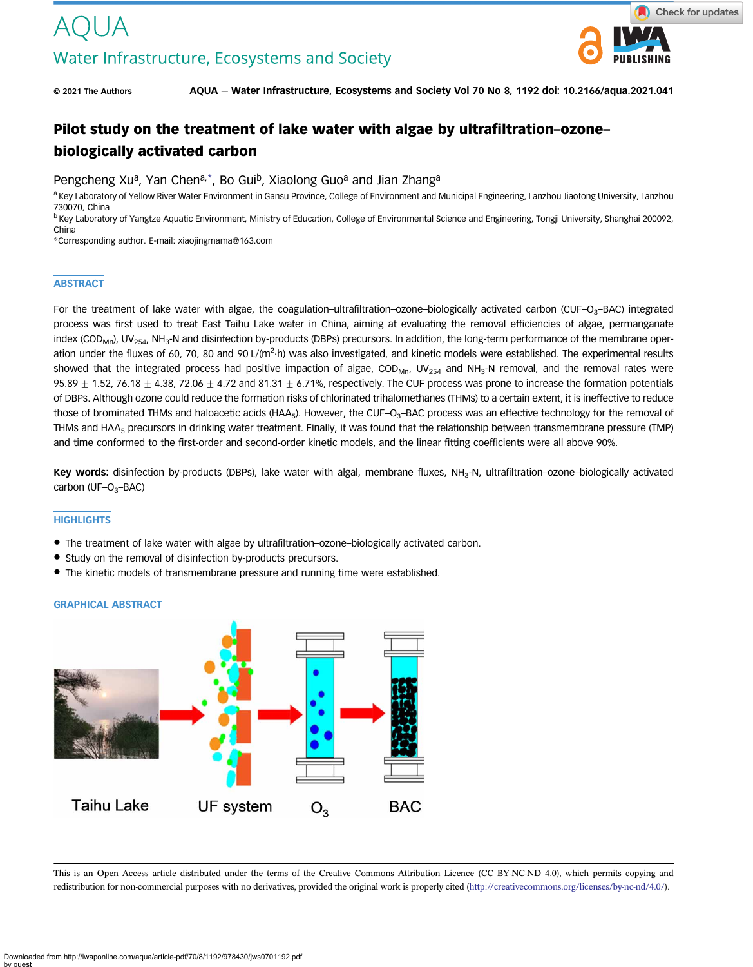

© 2021 The Authors AQUA — Water Infrastructure, Ecosystems and Society Vol 70 No 8, 1192 doi: 10.2166/aqua.2021.041

# Pilot study on the treatment of lake water with algae by ultrafiltration–ozone– biologically activated carbon

Pengcheng Xu<sup>a</sup>, Yan Chen<sup>a,\*</sup>, Bo Gui<sup>b</sup>, Xiaolong Guo<sup>a</sup> and Jian Zhanga

a Key Laboratory of Yellow River Water Environment in Gansu Province, College of Environment and Municipal Engineering, Lanzhou Jiaotong University, Lanzhou 730070, China

<sup>b</sup> Key Laboratory of Yangtze Aquatic Environment, Ministry of Education, College of Environmental Science and Engineering, Tongji University, Shanghai 200092, China

\*Corresponding author. E-mail: [xiaojingmama@163.com](mailto:xiaojingmama@163.com)

#### **ABSTRACT**

For the treatment of lake water with algae, the coagulation–ultrafiltration–ozone–biologically activated carbon (CUF–O<sub>3</sub>–BAC) integrated process was first used to treat East Taihu Lake water in China, aiming at evaluating the removal efficiencies of algae, permanganate index (COD<sub>Mn</sub>), UV<sub>254</sub>, NH<sub>3</sub>-N and disinfection by-products (DBPs) precursors. In addition, the long-term performance of the membrane operation under the fluxes of 60, 70, 80 and 90 L/(m<sup>2</sup>·h) was also investigated, and kinetic models were established. The experimental results showed that the integrated process had positive impaction of algae, COD<sub>Mn</sub>, UV<sub>254</sub> and NH<sub>3</sub>-N removal, and the removal rates were 95.89  $\pm$  1.52, 76.18  $\pm$  4.38, 72.06  $\pm$  4.72 and 81.31  $\pm$  6.71%, respectively. The CUF process was prone to increase the formation potentials of DBPs. Although ozone could reduce the formation risks of chlorinated trihalomethanes (THMs) to a certain extent, it is ineffective to reduce those of brominated THMs and haloacetic acids (HAA<sub>5</sub>). However, the CUF–O<sub>3</sub>–BAC process was an effective technology for the removal of THMs and HAA<sub>5</sub> precursors in drinking water treatment. Finally, it was found that the relationship between transmembrane pressure (TMP) and time conformed to the first-order and second-order kinetic models, and the linear fitting coefficients were all above 90%.

Key words: disinfection by-products (DBPs), lake water with algal, membrane fluxes,  $NH<sub>3</sub>-N$ , ultrafiltration–ozone–biologically activated carbon (UF-O<sub>3</sub>-BAC)

#### **HIGHLIGHTS**

- The treatment of lake water with algae by ultrafiltration–ozone–biologically activated carbon.
- Study on the removal of disinfection by-products precursors.
- The kinetic models of transmembrane pressure and running time were established.

# UF system **Taihu Lake**  $O_3$ **BAC**

GRAPHICAL ABSTRACT

This is an Open Access article distributed under the terms of the Creative Commons Attribution Licence (CC BY-NC-ND 4.0), which permits copying and redistribution for non-commercial purposes with no derivatives, provided the original work is properly cited [\(http://creativecommons.org/licenses/by-nc-nd/4.0/](http://creativecommons.org/licenses/by-nc-nd/4.0/)).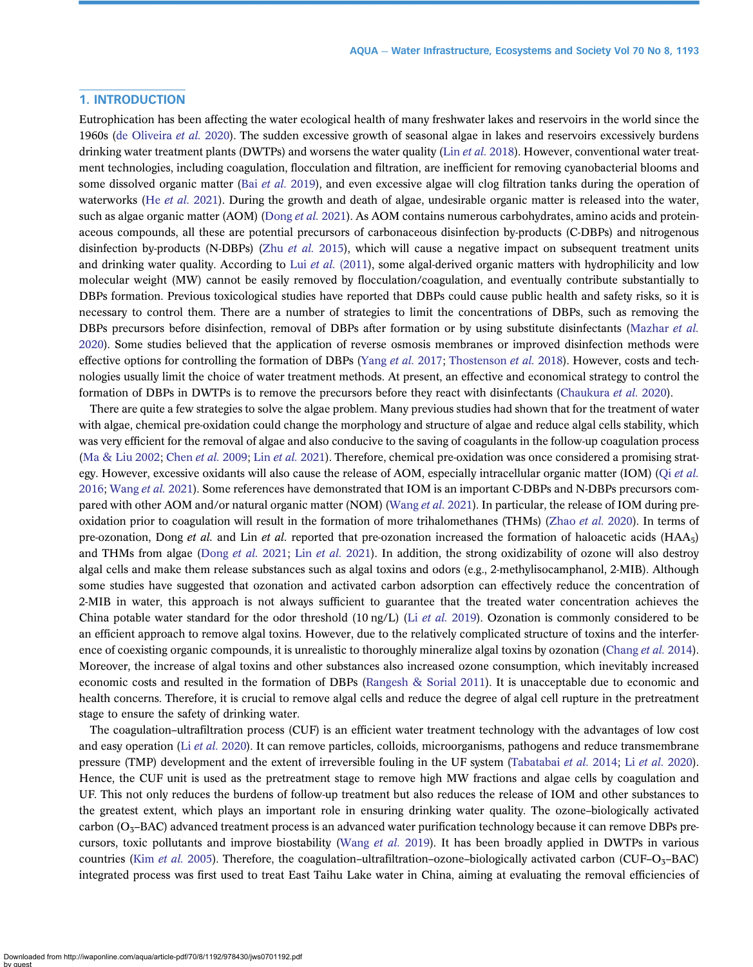# 1. INTRODUCTION

Eutrophication has been affecting the water ecological health of many freshwater lakes and reservoirs in the world since the 1960s ([de Oliveira](#page-9-0) et al. 2020). The sudden excessive growth of seasonal algae in lakes and reservoirs excessively burdens drinking water treatment plants (DWTPs) and worsens the water quality (Lin *et al.* [2018](#page-10-0)). However, conventional water treatment technologies, including coagulation, flocculation and filtration, are inefficient for removing cyanobacterial blooms and some dissolved organic matter (Bai [et al.](#page-9-0) 2019), and even excessive algae will clog filtration tanks during the operation of waterworks (He *[et al.](#page-10-0)* 2021). During the growth and death of algae, undesirable organic matter is released into the water, such as algae organic matter (AOM) [\(Dong](#page-9-0) et al. 2021). As AOM contains numerous carbohydrates, amino acids and proteinaceous compounds, all these are potential precursors of carbonaceous disinfection by-products (C-DBPs) and nitrogenous disinfection by-products (N-DBPs) (Zhu [et al.](#page-11-0) 2015), which will cause a negative impact on subsequent treatment units and drinking water quality. According to Lui et al.  $(2011)$ , some algal-derived organic matters with hydrophilicity and low molecular weight (MW) cannot be easily removed by flocculation/coagulation, and eventually contribute substantially to DBPs formation. Previous toxicological studies have reported that DBPs could cause public health and safety risks, so it is necessary to control them. There are a number of strategies to limit the concentrations of DBPs, such as removing the DBPs precursors before disinfection, removal of DBPs after formation or by using substitute disinfectants [\(Mazhar](#page-10-0) et al. [2020\)](#page-10-0). Some studies believed that the application of reverse osmosis membranes or improved disinfection methods were effective options for controlling the formation of DBPs [\(Yang](#page-11-0) et al. 2017; [Thostenson](#page-10-0) et al. 2018). However, costs and technologies usually limit the choice of water treatment methods. At present, an effective and economical strategy to control the formation of DBPs in DWTPs is to remove the precursors before they react with disinfectants ([Chaukura](#page-9-0) et al. 2020).

There are quite a few strategies to solve the algae problem. Many previous studies had shown that for the treatment of water with algae, chemical pre-oxidation could change the morphology and structure of algae and reduce algal cells stability, which was very efficient for the removal of algae and also conducive to the saving of coagulants in the follow-up coagulation process [\(Ma & Liu 2002](#page-10-0); [Chen](#page-9-0) et al. 2009; Lin et al. [2021](#page-10-0)). Therefore, chemical pre-oxidation was once considered a promising strategy. However, excessive oxidants will also cause the release of AOM, especially intracellular organic matter (IOM) (Oi [et al.](#page-10-0) [2016;](#page-10-0) [Wang](#page-11-0) et al. 2021). Some references have demonstrated that IOM is an important C-DBPs and N-DBPs precursors com-pared with other AOM and/or natural organic matter (NOM) [\(Wang](#page-11-0) *et al.* 2021). In particular, the release of IOM during pre-oxidation prior to coagulation will result in the formation of more trihalomethanes (THMs) ([Zhao](#page-11-0) *et al.* 2020). In terms of pre-ozonation, Dong et al. and Lin et al. reported that pre-ozonation increased the formation of haloacetic acids  $(HAA<sub>5</sub>)$ and THMs from algae ([Dong](#page-9-0) [et al.](#page-10-0) 2021; Lin et al. 2021). In addition, the strong oxidizability of ozone will also destroy algal cells and make them release substances such as algal toxins and odors (e.g., 2-methylisocamphanol, 2-MIB). Although some studies have suggested that ozonation and activated carbon adsorption can effectively reduce the concentration of 2-MIB in water, this approach is not always sufficient to guarantee that the treated water concentration achieves the China potable water standard for the odor threshold  $(10 \text{ ng/L})$  (Li *[et al.](#page-10-0)* 2019). Ozonation is commonly considered to be an efficient approach to remove algal toxins. However, due to the relatively complicated structure of toxins and the interfer-ence of coexisting organic compounds, it is unrealistic to thoroughly mineralize algal toxins by ozonation ([Chang](#page-9-0) et al. 2014). Moreover, the increase of algal toxins and other substances also increased ozone consumption, which inevitably increased economic costs and resulted in the formation of DBPs [\(Rangesh & Sorial 2011\)](#page-10-0). It is unacceptable due to economic and health concerns. Therefore, it is crucial to remove algal cells and reduce the degree of algal cell rupture in the pretreatment stage to ensure the safety of drinking water.

The coagulation–ultrafiltration process (CUF) is an efficient water treatment technology with the advantages of low cost and easy operation (Li et al. [2020\)](#page-10-0). It can remove particles, colloids, microorganisms, pathogens and reduce transmembrane pressure (TMP) development and the extent of irreversible fouling in the UF system ([Tabatabai](#page-10-0) et al. 2014; Li et al. [2020\)](#page-10-0). Hence, the CUF unit is used as the pretreatment stage to remove high MW fractions and algae cells by coagulation and UF. This not only reduces the burdens of follow-up treatment but also reduces the release of IOM and other substances to the greatest extent, which plays an important role in ensuring drinking water quality. The ozone–biologically activated carbon ( $O<sub>3</sub>$ –BAC) advanced treatment process is an advanced water purification technology because it can remove DBPs pre-cursors, toxic pollutants and improve biostability [\(Wang](#page-10-0) et al. 2019). It has been broadly applied in DWTPs in various countries (Kim [et al.](#page-10-0) 2005). Therefore, the coagulation–ultrafiltration–ozone–biologically activated carbon (CUF–O<sub>3</sub>–BAC) integrated process was first used to treat East Taihu Lake water in China, aiming at evaluating the removal efficiencies of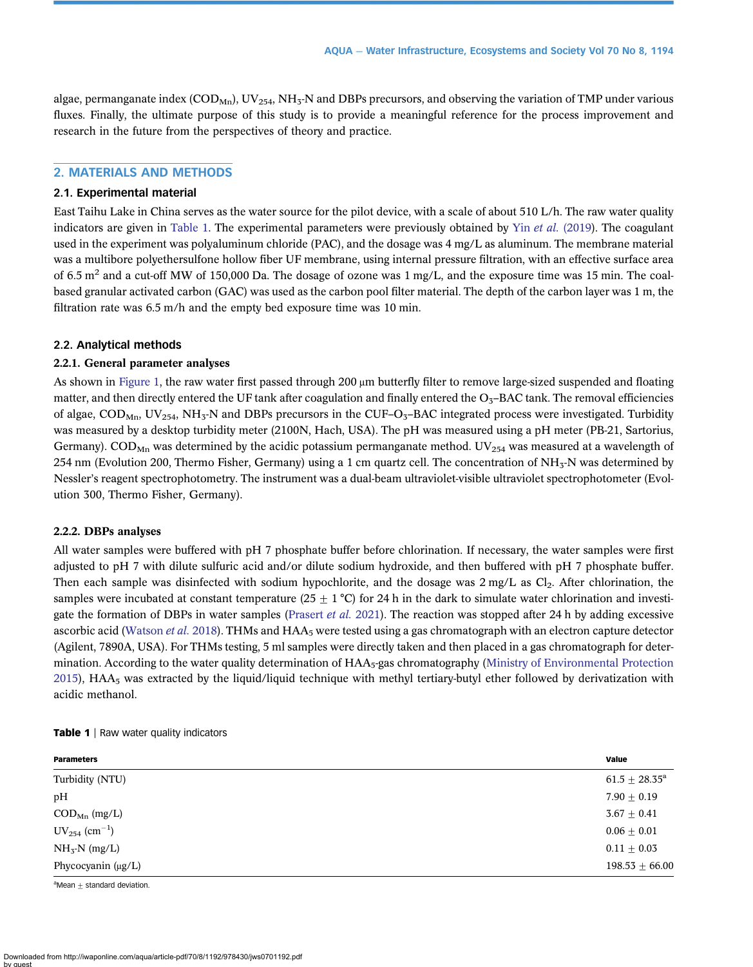algae, permanganate index ( $\text{COD}_{\text{Mn}}$ ), UV<sub>254</sub>, NH<sub>3</sub>-N and DBPs precursors, and observing the variation of TMP under various fluxes. Finally, the ultimate purpose of this study is to provide a meaningful reference for the process improvement and research in the future from the perspectives of theory and practice.

# 2. MATERIALS AND METHODS

# 2.1. Experimental material

East Taihu Lake in China serves as the water source for the pilot device, with a scale of about 510 L/h. The raw water quality indicators are given in Table 1. The experimental parameters were previously obtained by Yin et al. [\(2019\)](#page-11-0). The coagulant used in the experiment was polyaluminum chloride (PAC), and the dosage was 4 mg/L as aluminum. The membrane material was a multibore polyethersulfone hollow fiber UF membrane, using internal pressure filtration, with an effective surface area of 6.5  $m<sup>2</sup>$  and a cut-off MW of 150,000 Da. The dosage of ozone was 1 mg/L, and the exposure time was 15 min. The coalbased granular activated carbon (GAC) was used as the carbon pool filter material. The depth of the carbon layer was 1 m, the filtration rate was 6.5 m/h and the empty bed exposure time was 10 min.

# 2.2. Analytical methods

#### 2.2.1. General parameter analyses

As shown in [Figure 1](#page-3-0), the raw water first passed through 200 μm butterfly filter to remove large-sized suspended and floating matter, and then directly entered the UF tank after coagulation and finally entered the  $O<sub>3</sub>$ -BAC tank. The removal efficiencies of algae,  $\text{COD}_{\text{Mn}}$ ,  $\text{UV}_{254}$ ,  $\text{NH}_3\text{-N}$  and DBPs precursors in the CUF–O<sub>3</sub>–BAC integrated process were investigated. Turbidity was measured by a desktop turbidity meter (2100N, Hach, USA). The pH was measured using a pH meter (PB-21, Sartorius, Germany). COD<sub>Mn</sub> was determined by the acidic potassium permanganate method. UV<sub>254</sub> was measured at a wavelength of 254 nm (Evolution 200, Thermo Fisher, Germany) using a 1 cm quartz cell. The concentration of  $NH<sub>3</sub>$ -N was determined by Nessler's reagent spectrophotometry. The instrument was a dual-beam ultraviolet-visible ultraviolet spectrophotometer (Evolution 300, Thermo Fisher, Germany).

## 2.2.2. DBPs analyses

All water samples were buffered with pH 7 phosphate buffer before chlorination. If necessary, the water samples were first adjusted to pH 7 with dilute sulfuric acid and/or dilute sodium hydroxide, and then buffered with pH 7 phosphate buffer. Then each sample was disinfected with sodium hypochlorite, and the dosage was  $2 \text{ mg/L}$  as  $Cl_2$ . After chlorination, the samples were incubated at constant temperature (25  $\pm$  1 °C) for 24 h in the dark to simulate water chlorination and investigate the formation of DBPs in water samples [\(Prasert](#page-10-0) et al. 2021). The reaction was stopped after 24 h by adding excessive ascorbic acid [\(Watson](#page-11-0) et al. 2018). THMs and  $HAA_5$  were tested using a gas chromatograph with an electron capture detector (Agilent, 7890A, USA). For THMs testing, 5 ml samples were directly taken and then placed in a gas chromatograph for determination. According to the water quality determination of  $HAA<sub>5</sub>$ -gas chromatography ([Ministry of Environmental Protection](#page-10-0)  $2015$ ), HAA<sub>5</sub> was extracted by the liquid/liquid technique with methyl tertiary-butyl ether followed by derivatization with acidic methanol.

#### Table 1 | Raw water quality indicators

| <b>Parameters</b>                 | Value              |
|-----------------------------------|--------------------|
| Turbidity (NTU)                   | $61.5 \pm 28.35^a$ |
| pН                                | $7.90 \pm 0.19$    |
| $\mathrm{COD}_\mathrm{Mn}$ (mg/L) | $3.67 \pm 0.41$    |
| $UV_{254}$ (cm <sup>-1</sup> )    | $0.06 \pm 0.01$    |
| $NH3-N (mg/L)$                    | $0.11 \pm 0.03$    |
| Phycocyanin $(\mu g/L)$           | $198.53 \pm 66.00$ |

 $a$ Mean  $\pm$  standard deviation.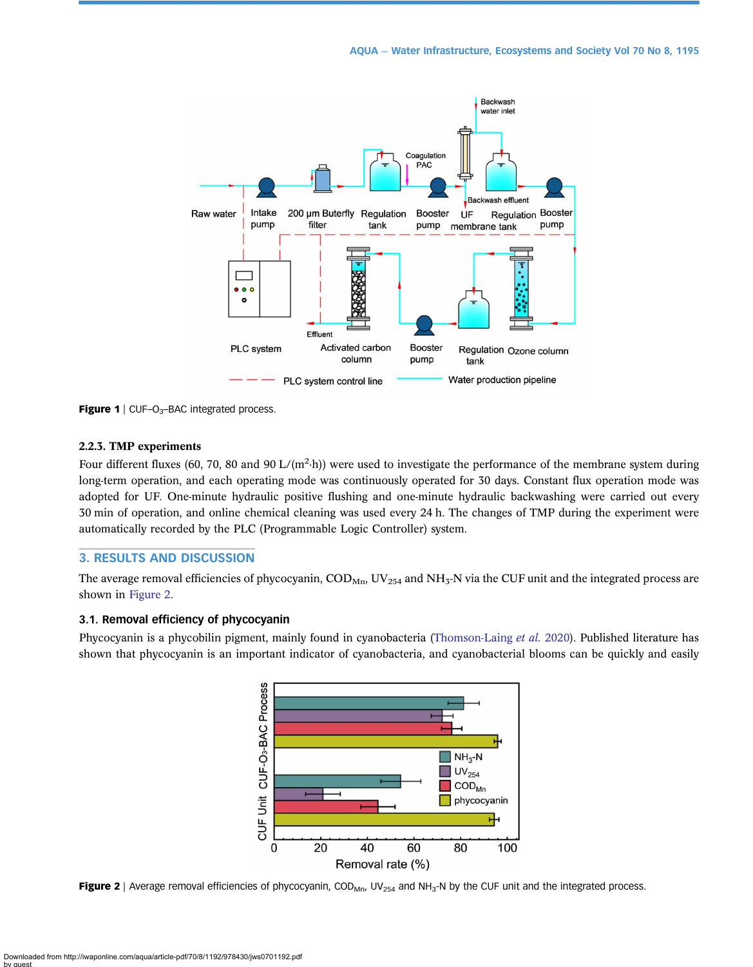<span id="page-3-0"></span>

**Figure 1** | CUF-O<sub>3</sub>-BAC integrated process.

# 2.2.3. TMP experiments

Four different fluxes (60, 70, 80 and 90 L/ $(m^2-h)$ ) were used to investigate the performance of the membrane system during long-term operation, and each operating mode was continuously operated for 30 days. Constant flux operation mode was adopted for UF. One-minute hydraulic positive flushing and one-minute hydraulic backwashing were carried out every 30 min of operation, and online chemical cleaning was used every 24 h. The changes of TMP during the experiment were automatically recorded by the PLC (Programmable Logic Controller) system.

# 3. RESULTS AND DISCUSSION

The average removal efficiencies of phycocyanin,  $\text{COD}_{\text{Mn}}$ ,  $\text{UV}_{254}$  and  $\text{NH}_3\text{-N}$  via the CUF unit and the integrated process are shown in Figure 2.

# 3.1. Removal efficiency of phycocyanin

Phycocyanin is a phycobilin pigment, mainly found in cyanobacteria [\(Thomson-Laing](#page-10-0) et al. 2020). Published literature has shown that phycocyanin is an important indicator of cyanobacteria, and cyanobacterial blooms can be quickly and easily



Figure 2 | Average removal efficiencies of phycocyanin, COD<sub>Mn</sub>, UV<sub>254</sub> and NH<sub>3</sub>-N by the CUF unit and the integrated process.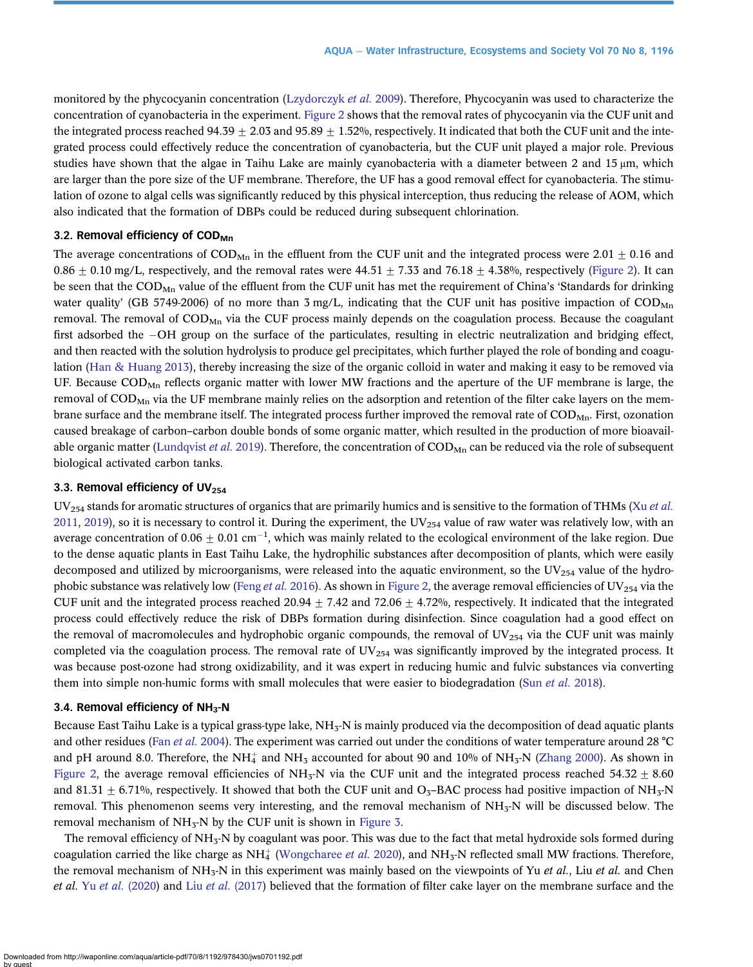monitored by the phycocyanin concentration ([Lzydorczyk](#page-10-0) et al. 2009). Therefore, Phycocyanin was used to characterize the concentration of cyanobacteria in the experiment. [Figure 2](#page-3-0) shows that the removal rates of phycocyanin via the CUF unit and the integrated process reached  $94.39 + 2.03$  and  $95.89 + 1.52\%$ , respectively. It indicated that both the CUF unit and the integrated process could effectively reduce the concentration of cyanobacteria, but the CUF unit played a major role. Previous studies have shown that the algae in Taihu Lake are mainly cyanobacteria with a diameter between 2 and 15 μm, which are larger than the pore size of the UF membrane. Therefore, the UF has a good removal effect for cyanobacteria. The stimulation of ozone to algal cells was significantly reduced by this physical interception, thus reducing the release of AOM, which also indicated that the formation of DBPs could be reduced during subsequent chlorination.

# 3.2. Removal efficiency of COD<sub>Mn</sub>

The average concentrations of  $\text{COD}_{\text{Mn}}$  in the effluent from the CUF unit and the integrated process were 2.01  $\pm$  0.16 and  $0.86 \pm 0.10$  mg/L, respectively, and the removal rates were  $44.51 \pm 7.33$  and  $76.18 \pm 4.38$ %, respectively [\(Figure 2](#page-3-0)). It can be seen that the  $\text{COD}_{\text{Mn}}$  value of the effluent from the CUF unit has met the requirement of China's 'Standards for drinking water quality' (GB 5749-2006) of no more than 3 mg/L, indicating that the CUF unit has positive impaction of  $\text{COD}_\text{Mn}$ removal. The removal of  $\text{COD}_{\text{Mn}}$  via the CUF process mainly depends on the coagulation process. Because the coagulant first adsorbed the OH group on the surface of the particulates, resulting in electric neutralization and bridging effect, and then reacted with the solution hydrolysis to produce gel precipitates, which further played the role of bonding and coagulation [\(Han & Huang 2013](#page-9-0)), thereby increasing the size of the organic colloid in water and making it easy to be removed via UF. Because  $\text{COD}_{\text{Mn}}$  reflects organic matter with lower MW fractions and the aperture of the UF membrane is large, the removal of  $\text{COMP}_M$  via the UF membrane mainly relies on the adsorption and retention of the filter cake layers on the membrane surface and the membrane itself. The integrated process further improved the removal rate of  $\text{COD}_{\text{Mn}}$ . First, ozonation caused breakage of carbon–carbon double bonds of some organic matter, which resulted in the production of more bioavail-able organic matter ([Lundqvist](#page-10-0) et al. 2019). Therefore, the concentration of  $\text{COD}_\text{Mn}$  can be reduced via the role of subsequent biological activated carbon tanks.

# 3.3. Removal efficiency of UV $_{254}$

 $UV_{254}$  stands for aromatic structures of organics that are primarily humics and is sensitive to the formation of THMs (Xu [et al.](#page-11-0) [2011](#page-11-0), [2019](#page-11-0)), so it is necessary to control it. During the experiment, the  $UV_{254}$  value of raw water was relatively low, with an average concentration of 0.06  $\pm$  0.01 cm $^{-1}$ , which was mainly related to the ecological environment of the lake region. Due to the dense aquatic plants in East Taihu Lake, the hydrophilic substances after decomposition of plants, which were easily decomposed and utilized by microorganisms, were released into the aquatic environment, so the UV $_{254}$  value of the hydro-phobic substance was relatively low (Feng et al. [2016\)](#page-9-0). As shown in [Figure 2,](#page-3-0) the average removal efficiencies of UV $_{254}$  via the CUF unit and the integrated process reached 20.94  $\pm$  7.42 and 72.06  $\pm$  4.72%, respectively. It indicated that the integrated process could effectively reduce the risk of DBPs formation during disinfection. Since coagulation had a good effect on the removal of macromolecules and hydrophobic organic compounds, the removal of UV $_{254}$  via the CUF unit was mainly completed via the coagulation process. The removal rate of  $UV_{254}$  was significantly improved by the integrated process. It was because post-ozone had strong oxidizability, and it was expert in reducing humic and fulvic substances via converting them into simple non-humic forms with small molecules that were easier to biodegradation (Sun [et al.](#page-10-0) 2018).

# 3.4. Removal efficiency of  $NH<sub>3</sub>$ -N

Because East Taihu Lake is a typical grass-type lake,  $NH<sub>3</sub>-N$  is mainly produced via the decomposition of dead aquatic plants and other residues (Fan [et al.](#page-9-0) 2004). The experiment was carried out under the conditions of water temperature around 28 °C and pH around 8.0. Therefore, the NH<sub>4</sub> and NH<sub>3</sub> accounted for about 90 and 10% of NH<sub>3</sub>-N [\(Zhang 2000\)](#page-11-0). As shown in [Figure 2](#page-3-0), the average removal efficiencies of NH<sub>3</sub>-N via the CUF unit and the integrated process reached 54.32  $\pm$  8.60 and 81.31  $\pm$  6.71%, respectively. It showed that both the CUF unit and O<sub>3</sub>–BAC process had positive impaction of NH<sub>3</sub>-N removal. This phenomenon seems very interesting, and the removal mechanism of NH<sub>3</sub>-N will be discussed below. The removal mechanism of  $NH<sub>3</sub>-N$  by the CUF unit is shown in [Figure 3](#page-5-0).

The removal efficiency of  $NH_{3}$ -N by coagulant was poor. This was due to the fact that metal hydroxide sols formed during coagulation carried the like charge as NH<sup>+</sup> ([Wongcharee](#page-11-0) et al. 2020), and NH<sub>3</sub>-N reflected small MW fractions. Therefore, the removal mechanism of  $NH_3-N$  in this experiment was mainly based on the viewpoints of Yu et al., Liu et al. and Chen et al. Yu et al. [\(2020](#page-11-0)) and Liu et al. [\(2017\)](#page-10-0) believed that the formation of filter cake layer on the membrane surface and the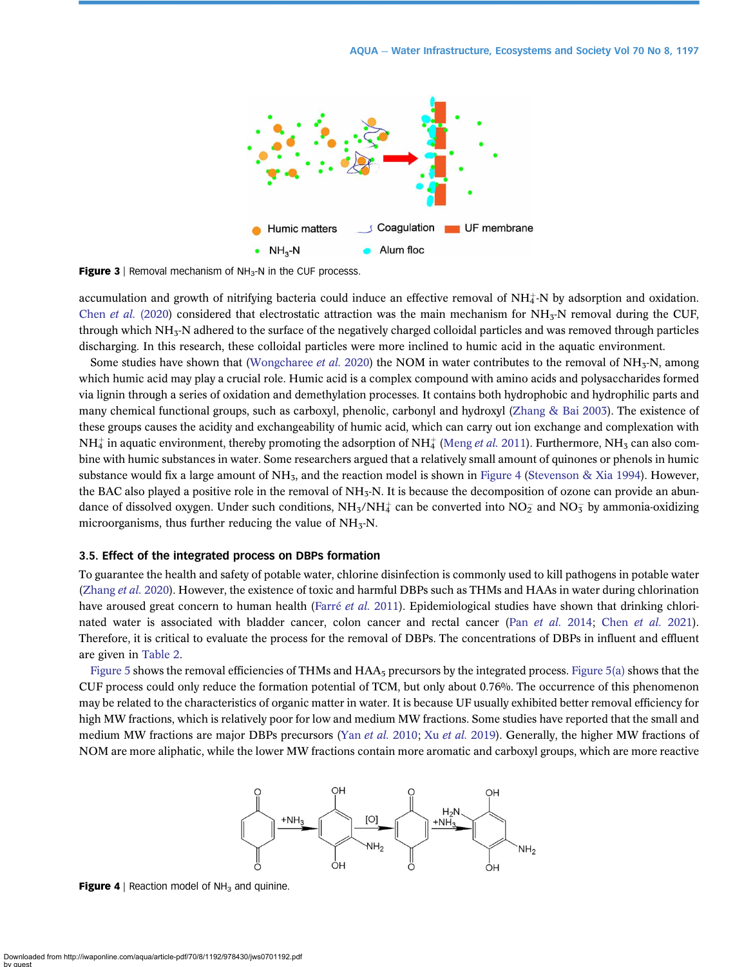<span id="page-5-0"></span>

**Figure 3** | Removal mechanism of  $NH<sub>3</sub>-N$  in the CUF processs.

accumulation and growth of nitrifying bacteria could induce an effective removal of  $NH_4$ -N by adsorption and oxidation. Chen et al. [\(2020](#page-9-0)) considered that electrostatic attraction was the main mechanism for  $NH<sub>3</sub>-N$  removal during the CUF, through which  $NH<sub>3</sub>-N$  adhered to the surface of the negatively charged colloidal particles and was removed through particles discharging. In this research, these colloidal particles were more inclined to humic acid in the aquatic environment.

Some studies have shown that [\(Wongcharee](#page-11-0) *et al.* 2020) the NOM in water contributes to the removal of NH<sub>3</sub>-N, among which humic acid may play a crucial role. Humic acid is a complex compound with amino acids and polysaccharides formed via lignin through a series of oxidation and demethylation processes. It contains both hydrophobic and hydrophilic parts and many chemical functional groups, such as carboxyl, phenolic, carbonyl and hydroxyl [\(Zhang & Bai 2003\)](#page-11-0). The existence of these groups causes the acidity and exchangeability of humic acid, which can carry out ion exchange and complexation with  $NH_4^+$  in aquatic environment, thereby promoting the adsorption of NH $_4^+$  [\(Meng](#page-10-0) *et al.* 2011). Furthermore, NH<sub>3</sub> can also combine with humic substances in water. Some researchers argued that a relatively small amount of quinones or phenols in humic substance would fix a large amount of  $NH_3$ , and the reaction model is shown in Figure 4 ([Stevenson & Xia 1994\)](#page-10-0). However, the BAC also played a positive role in the removal of  $NH<sub>3</sub>$ N. It is because the decomposition of ozone can provide an abundance of dissolved oxygen. Under such conditions, NH<sub>3</sub>/NH<sub>4</sub> can be converted into NO<sub>2</sub> and NO<sub>3</sub> by ammonia-oxidizing microorganisms, thus further reducing the value of  $NH<sub>3</sub>-N$ .

#### 3.5. Effect of the integrated process on DBPs formation

To guarantee the health and safety of potable water, chlorine disinfection is commonly used to kill pathogens in potable water [\(Zhang](#page-11-0) et al. 2020). However, the existence of toxic and harmful DBPs such as THMs and HAAs in water during chlorination have aroused great concern to human health ([Farré](#page-9-0) et al. 2011). Epidemiological studies have shown that drinking chlorinated water is associated with bladder cancer, colon cancer and rectal cancer (Pan [et al.](#page-9-0) 2014; Chen et al. 2021). Therefore, it is critical to evaluate the process for the removal of DBPs. The concentrations of DBPs in influent and effluent are given in [Table 2](#page-6-0).

[Figure 5](#page-6-0) shows the removal efficiencies of THMs and  $HAA<sub>5</sub>$  precursors by the integrated process. [Figure 5\(a\)](#page-6-0) shows that the CUF process could only reduce the formation potential of TCM, but only about 0.76%. The occurrence of this phenomenon may be related to the characteristics of organic matter in water. It is because UF usually exhibited better removal efficiency for high MW fractions, which is relatively poor for low and medium MW fractions. Some studies have reported that the small and medium MW fractions are major DBPs precursors (Yan [et al.](#page-11-0) 2010; Xu et al. 2019). Generally, the higher MW fractions of NOM are more aliphatic, while the lower MW fractions contain more aromatic and carboxyl groups, which are more reactive



**Figure 4** | Reaction model of  $NH<sub>3</sub>$  and quinine.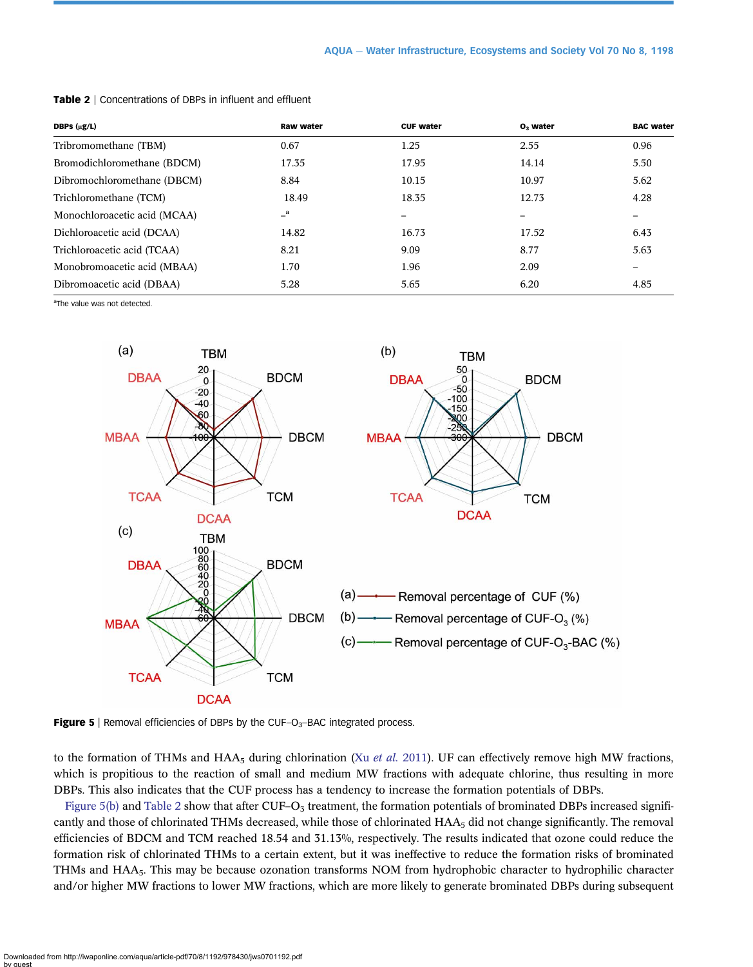| DBPs $(\mu g/L)$             | <b>Raw water</b> | <b>CUF water</b>         | $O3$ water               | <b>BAC water</b>             |
|------------------------------|------------------|--------------------------|--------------------------|------------------------------|
| Tribromomethane (TBM)        | 0.67             | 1.25                     | 2.55                     | 0.96                         |
| Bromodichloromethane (BDCM)  | 17.35            | 17.95                    | 14.14                    | 5.50                         |
| Dibromochloromethane (DBCM)  | 8.84             | 10.15                    | 10.97                    | 5.62                         |
| Trichloromethane (TCM)       | 18.49            | 18.35                    | 12.73                    | 4.28                         |
| Monochloroacetic acid (MCAA) | $\mathbf{a}$     | $\overline{\phantom{m}}$ | $\overline{\phantom{m}}$ | $\qquad \qquad \blacksquare$ |
| Dichloroacetic acid (DCAA)   | 14.82            | 16.73                    | 17.52                    | 6.43                         |
| Trichloroacetic acid (TCAA)  | 8.21             | 9.09                     | 8.77                     | 5.63                         |
| Monobromoacetic acid (MBAA)  | 1.70             | 1.96                     | 2.09                     |                              |
| Dibromoacetic acid (DBAA)    | 5.28             | 5.65                     | 6.20                     | 4.85                         |

<span id="page-6-0"></span>Table 2 | Concentrations of DBPs in influent and effluent

a The value was not detected.



Figure 5 | Removal efficiencies of DBPs by the CUF-O $_3$ -BAC integrated process.

to the formation of THMs and HAA<sub>5</sub> during chlorination (Xu *[et al.](#page-11-0)* 2011). UF can effectively remove high MW fractions, which is propitious to the reaction of small and medium MW fractions with adequate chlorine, thus resulting in more DBPs. This also indicates that the CUF process has a tendency to increase the formation potentials of DBPs.

Figure 5(b) and Table 2 show that after CUF– $O_3$  treatment, the formation potentials of brominated DBPs increased significantly and those of chlorinated THMs decreased, while those of chlorinated  $HAA<sub>5</sub>$  did not change significantly. The removal efficiencies of BDCM and TCM reached 18.54 and 31.13%, respectively. The results indicated that ozone could reduce the formation risk of chlorinated THMs to a certain extent, but it was ineffective to reduce the formation risks of brominated THMs and HAA5. This may be because ozonation transforms NOM from hydrophobic character to hydrophilic character and/or higher MW fractions to lower MW fractions, which are more likely to generate brominated DBPs during subsequent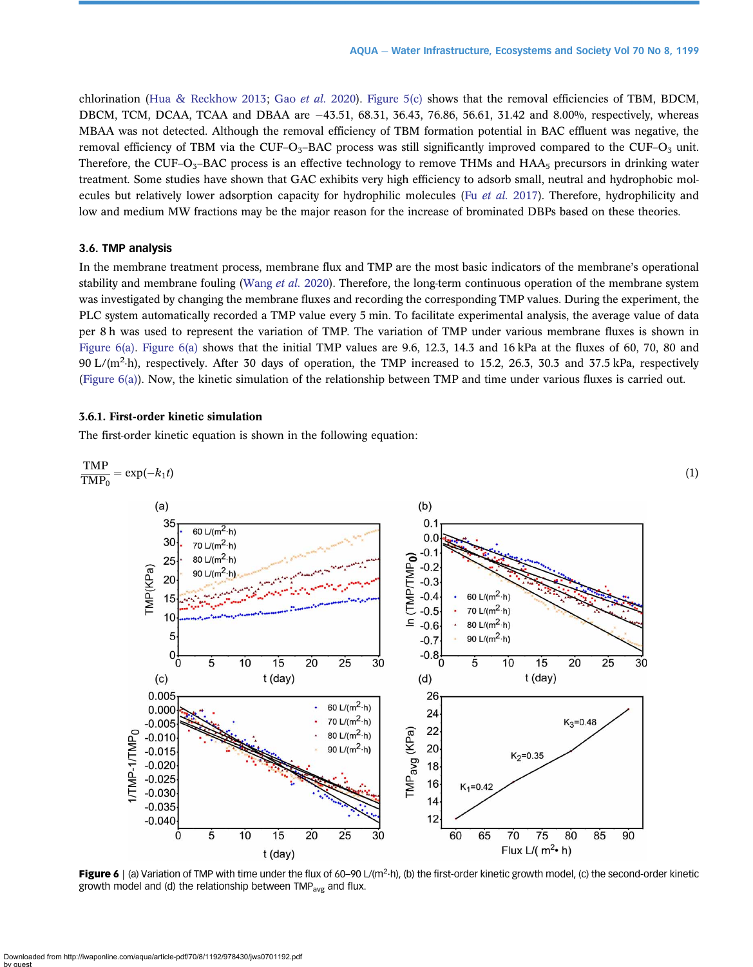<span id="page-7-0"></span>chlorination ([Hua & Reckhow 2013;](#page-10-0) Gao [et al.](#page-9-0) 2020). [Figure 5\(c\)](#page-6-0) shows that the removal efficiencies of TBM, BDCM, DBCM, TCM, DCAA, TCAA and DBAA are  $-43.51$ , 68.31, 36.43, 76.86, 56.61, 31.42 and 8.00%, respectively, whereas MBAA was not detected. Although the removal efficiency of TBM formation potential in BAC effluent was negative, the removal efficiency of TBM via the CUF–O<sub>3</sub>–BAC process was still significantly improved compared to the CUF–O<sub>3</sub> unit. Therefore, the CUF–O<sub>3</sub>–BAC process is an effective technology to remove THMs and HAA $_5$  precursors in drinking water treatment. Some studies have shown that GAC exhibits very high efficiency to adsorb small, neutral and hydrophobic molecules but relatively lower adsorption capacity for hydrophilic molecules (Fu [et al.](#page-9-0) 2017). Therefore, hydrophilicity and low and medium MW fractions may be the major reason for the increase of brominated DBPs based on these theories.

# 3.6. TMP analysis

In the membrane treatment process, membrane flux and TMP are the most basic indicators of the membrane's operational stability and membrane fouling ([Wang](#page-10-0) *et al.* 2020). Therefore, the long-term continuous operation of the membrane system was investigated by changing the membrane fluxes and recording the corresponding TMP values. During the experiment, the PLC system automatically recorded a TMP value every 5 min. To facilitate experimental analysis, the average value of data per 8 h was used to represent the variation of TMP. The variation of TMP under various membrane fluxes is shown in Figure  $6(a)$ . Figure  $6(a)$  shows that the initial TMP values are 9.6, 12.3, 14.3 and 16 kPa at the fluxes of 60, 70, 80 and 90 L/ $(m^2-h)$ , respectively. After 30 days of operation, the TMP increased to 15.2, 26.3, 30.3 and 37.5 kPa, respectively (Figure 6(a)). Now, the kinetic simulation of the relationship between TMP and time under various fluxes is carried out.

# 3.6.1. First-order kinetic simulation

The first-order kinetic equation is shown in the following equation:



Figure 6 | (a) Variation of TMP with time under the flux of 60–90 L/(m<sup>2</sup>·h), (b) the first-order kinetic growth model, (c) the second-order kinetic growth model and (d) the relationship between  $\text{TMP}_{\text{avg}}$  and flux.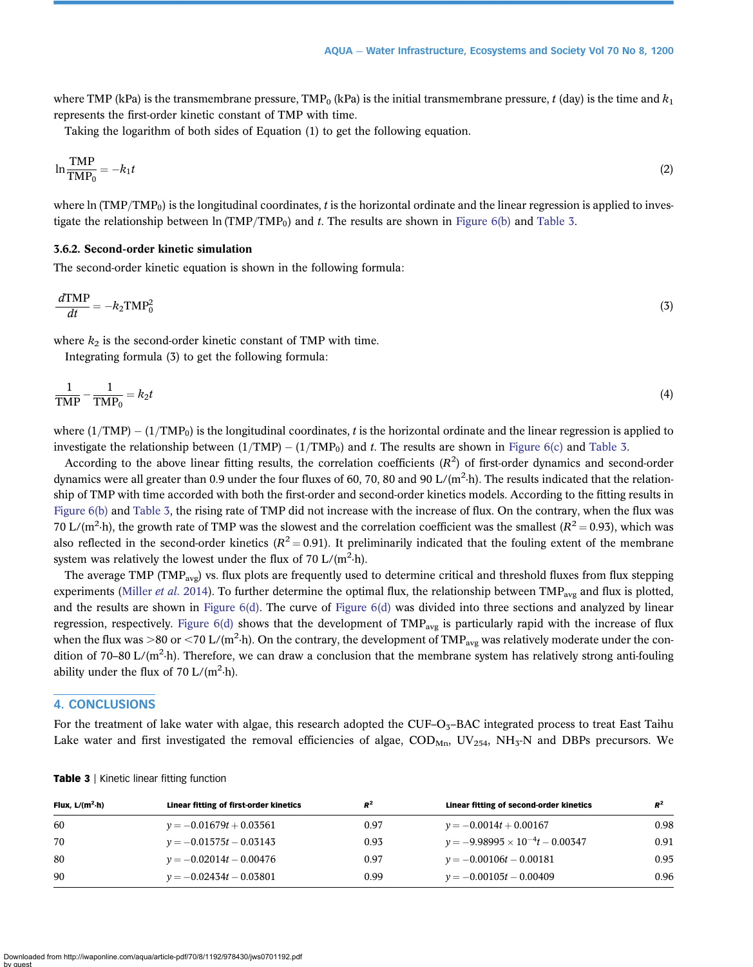where TMP (kPa) is the transmembrane pressure, TMP<sub>0</sub> (kPa) is the initial transmembrane pressure, t (day) is the time and  $k_1$ represents the first-order kinetic constant of TMP with time.

Taking the logarithm of both sides of Equation (1) to get the following equation.

$$
\ln \frac{\text{TMP}}{\text{TMP}_0} = -k_1 t \tag{2}
$$

where ln (TMP/TMP<sub>0</sub>) is the longitudinal coordinates, t is the horizontal ordinate and the linear regression is applied to inves-tigate the relationship between ln (TMP/TMP<sub>0</sub>) and t. The results are shown in [Figure 6\(b\)](#page-7-0) and Table 3.

# 3.6.2. Second-order kinetic simulation

The second-order kinetic equation is shown in the following formula:

$$
\frac{d \text{TMP}}{dt} = -k_2 \text{TMP}_0^2 \tag{3}
$$

where  $k_2$  is the second-order kinetic constant of TMP with time.

Integrating formula (3) to get the following formula:

$$
\frac{1}{\text{TMP}} - \frac{1}{\text{TMP}_0} = k_2 t \tag{4}
$$

where  $(1/TMP) - (1/TMP_0)$  is the longitudinal coordinates, t is the horizontal ordinate and the linear regression is applied to investigate the relationship between  $(1/TMP) - (1/TMP_0)$  and t. The results are shown in [Figure 6\(c\)](#page-7-0) and Table 3.

According to the above linear fitting results, the correlation coefficients  $(R^2)$  of first-order dynamics and second-order dynamics were all greater than 0.9 under the four fluxes of 60, 70, 80 and 90 L/( $m^2$ -h). The results indicated that the relationship of TMP with time accorded with both the first-order and second-order kinetics models. According to the fitting results in [Figure 6\(b\)](#page-7-0) and Table 3, the rising rate of TMP did not increase with the increase of flux. On the contrary, when the flux was 70 L/(m<sup>2</sup>·h), the growth rate of TMP was the slowest and the correlation coefficient was the smallest ( $R^2 = 0.93$ ), which was also reflected in the second-order kinetics  $(R^2 = 0.91)$ . It preliminarily indicated that the fouling extent of the membrane system was relatively the lowest under the flux of  $70 \text{ L/(m²-h)}$ .

The average TMP (TMP<sub>avg</sub>) vs. flux plots are frequently used to determine critical and threshold fluxes from flux stepping experiments ([Miller](#page-10-0) *et al.* 2014). To further determine the optimal flux, the relationship between  $\text{TMP}_{\text{avg}}$  and flux is plotted, and the results are shown in [Figure 6\(d\)](#page-7-0). The curve of [Figure 6\(d\)](#page-7-0) was divided into three sections and analyzed by linear regression, respectively. Figure  $6(d)$  shows that the development of TMP<sub>avg</sub> is particularly rapid with the increase of flux when the flux was >80 or <70 L/(m<sup>2</sup>·h). On the contrary, the development of TMP<sub>avg</sub> was relatively moderate under the condition of 70–80 L/( $m^2$ -h). Therefore, we can draw a conclusion that the membrane system has relatively strong anti-fouling ability under the flux of 70  $L/(m^2 \cdot h)$ .

# 4. CONCLUSIONS

For the treatment of lake water with algae, this research adopted the CUF– $O<sub>3</sub>$ –BAC integrated process to treat East Taihu Lake water and first investigated the removal efficiencies of algae,  $\text{COD}_{\text{Mn}}$ ,  $\text{UV}_{254}$ ,  $\text{NH}_3\text{-N}$  and DBPs precursors. We

| Flux, $L/(m^2 \cdot h)$ | Linear fitting of first-order kinetics | $R^2$ | Linear fitting of second-order kinetics  | $R^2$ |
|-------------------------|----------------------------------------|-------|------------------------------------------|-------|
| 60                      | $y = -0.01679t + 0.03561$              | 0.97  | $y = -0.0014t + 0.00167$                 | 0.98  |
| 70                      | $y = -0.01575t - 0.03143$              | 0.93  | $y = -9.98995 \times 10^{-4}t - 0.00347$ | 0.91  |
| 80                      | $y = -0.02014t - 0.00476$              | 0.97  | $y = -0.00106t - 0.00181$                | 0.95  |
| 90                      | $v = -0.02434t - 0.03801$              | 0.99  | $v = -0.00105t - 0.00409$                | 0.96  |

Table 3 | Kinetic linear fitting function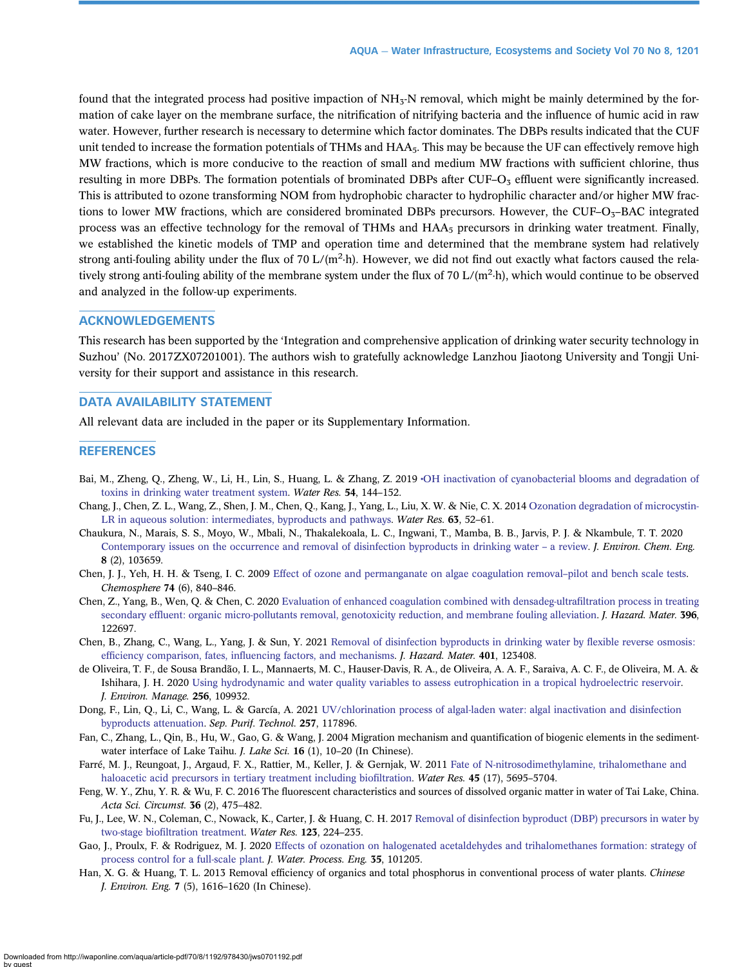<span id="page-9-0"></span>found that the integrated process had positive impaction of  $NH<sub>3</sub>-N$  removal, which might be mainly determined by the formation of cake layer on the membrane surface, the nitrification of nitrifying bacteria and the influence of humic acid in raw water. However, further research is necessary to determine which factor dominates. The DBPs results indicated that the CUF unit tended to increase the formation potentials of THMs and HAA<sub>5</sub>. This may be because the UF can effectively remove high MW fractions, which is more conducive to the reaction of small and medium MW fractions with sufficient chlorine, thus resulting in more DBPs. The formation potentials of brominated DBPs after CUF– $O<sub>3</sub>$  effluent were significantly increased. This is attributed to ozone transforming NOM from hydrophobic character to hydrophilic character and/or higher MW fractions to lower MW fractions, which are considered brominated DBPs precursors. However, the CUF–O $_{5}$ –BAC integrated process was an effective technology for the removal of THMs and HAA<sub>5</sub> precursors in drinking water treatment. Finally, we established the kinetic models of TMP and operation time and determined that the membrane system had relatively strong anti-fouling ability under the flux of 70 L/( $m^2$ -h). However, we did not find out exactly what factors caused the relatively strong anti-fouling ability of the membrane system under the flux of 70 L/(m<sup>2</sup>·h), which would continue to be observed and analyzed in the follow-up experiments.

# ACKNOWLEDGEMENTS

This research has been supported by the 'Integration and comprehensive application of drinking water security technology in Suzhou' (No. 2017ZX07201001). The authors wish to gratefully acknowledge Lanzhou Jiaotong University and Tongji University for their support and assistance in this research.

# DATA AVAILABILITY STATEMENT

All relevant data are included in the paper or its Supplementary Information.

# **REFERENCES**

- Bai, M., Zheng, Q., Zheng, W., Li, H., Lin, S., Huang, L. & Zhang, Z. 2019 •[OH inactivation of cyanobacterial blooms and degradation of](http://dx.doi.org/10.1016/j.watres.2019.02.002) [toxins in drinking water treatment system](http://dx.doi.org/10.1016/j.watres.2019.02.002). Water Res. 54, 144–152.
- Chang, J., Chen, Z. L., Wang, Z., Shen, J. M., Chen, Q., Kang, J., Yang, L., Liu, X. W. & Nie, C. X. 2014 [Ozonation degradation of microcystin-](http://dx.doi.org/10.1016/j.watres.2014.06.007)[LR in aqueous solution: intermediates, byproducts and pathways.](http://dx.doi.org/10.1016/j.watres.2014.06.007) Water Res. 63, 52-61.
- Chaukura, N., Marais, S. S., Moyo, W., Mbali, N., Thakalekoala, L. C., Ingwani, T., Mamba, B. B., Jarvis, P. J. & Nkambule, T. T. 2020 [Contemporary issues on the occurrence and removal of disinfection byproducts in drinking water](http://dx.doi.org/10.1016/j.jece.2020.103659) – a review. J. Environ. Chem. Eng. 8 (2), 103659.
- Chen, J. J., Yeh, H. H. & Tseng, I. C. 2009 [Effect of ozone and permanganate on algae coagulation removal](http://dx.doi.org/10.1016/j.chemosphere.2008.10.009)–pilot and bench scale tests. Chemosphere 74 (6), 840–846.
- Chen, Z., Yang, B., Wen, Q. & Chen, C. 2020 [Evaluation of enhanced coagulation combined with densadeg-ultra](http://dx.doi.org/10.1016/j.jhazmat.2020.122697)filtration process in treating secondary effl[uent: organic micro-pollutants removal, genotoxicity reduction, and membrane fouling alleviation](http://dx.doi.org/10.1016/j.jhazmat.2020.122697). *J. Hazard. Mater.* 396, 122697.
- Chen, B., Zhang, C., Wang, L., Yang, J. & Sun, Y. 2021 [Removal of disinfection byproducts in drinking water by](http://dx.doi.org/10.1016/j.jhazmat.2020.123408) flexible reverse osmosis: efficiency comparison, fates, infl[uencing factors, and mechanisms](http://dx.doi.org/10.1016/j.jhazmat.2020.123408). J. Hazard. Mater. 401, 123408.
- de Oliveira, T. F., de Sousa Brandão, I. L., Mannaerts, M. C., Hauser-Davis, R. A., de Oliveira, A. A. F., Saraiva, A. C. F., de Oliveira, M. A. & Ishihara, J. H. 2020 [Using hydrodynamic and water quality variables to assess eutrophication in a tropical hydroelectric reservoir](http://dx.doi.org/10.1016/j.jenvman.2019.109932). J. Environ. Manage. 256, 109932.
- Dong, F., Lin, Q., Li, C., Wang, L. & García, A. 2021 [UV/chlorination process of algal-laden water: algal inactivation and disinfection](http://dx.doi.org/10.1016/j.seppur.2020.117896) [byproducts attenuation](http://dx.doi.org/10.1016/j.seppur.2020.117896). Sep. Purif. Technol. 257, 117896.
- Fan, C., Zhang, L., Qin, B., Hu, W., Gao, G. & Wang, J. 2004 Migration mechanism and quantification of biogenic elements in the sedimentwater interface of Lake Taihu. J. Lake Sci. 16 (1), 10–20 (In Chinese).
- Farré, M. J., Reungoat, J., Argaud, F. X., Rattier, M., Keller, J. & Gernjak, W. 2011 [Fate of N-nitrosodimethylamine, trihalomethane and](http://dx.doi.org/10.1016/j.watres.2011.08.033) [haloacetic acid precursors in tertiary treatment including bio](http://dx.doi.org/10.1016/j.watres.2011.08.033)filtration. Water Res. 45 (17), 5695-5704.
- Feng, W. Y., Zhu, Y. R. & Wu, F. C. 2016 The fluorescent characteristics and sources of dissolved organic matter in water of Tai Lake, China. Acta Sci. Circumst. 36 (2), 475–482.
- Fu, J., Lee, W. N., Coleman, C., Nowack, K., Carter, J. & Huang, C. H. 2017 [Removal of disinfection byproduct \(DBP\) precursors in water by](http://dx.doi.org/10.1016/j.watres.2017.06.073) two-stage biofi[ltration treatment.](http://dx.doi.org/10.1016/j.watres.2017.06.073) Water Res. 123, 224–235.
- Gao, J., Proulx, F. & Rodriguez, M. J. 2020 [Effects of ozonation on halogenated acetaldehydes and trihalomethanes formation: strategy of](http://dx.doi.org/10.1016/j.jwpe.2020.101205) [process control for a full-scale plant](http://dx.doi.org/10.1016/j.jwpe.2020.101205). J. Water. Process. Eng. 35, 101205.
- Han, X. G. & Huang, T. L. 2013 Removal efficiency of organics and total phosphorus in conventional process of water plants. Chinese J. Environ. Eng. 7 (5), 1616–1620 (In Chinese).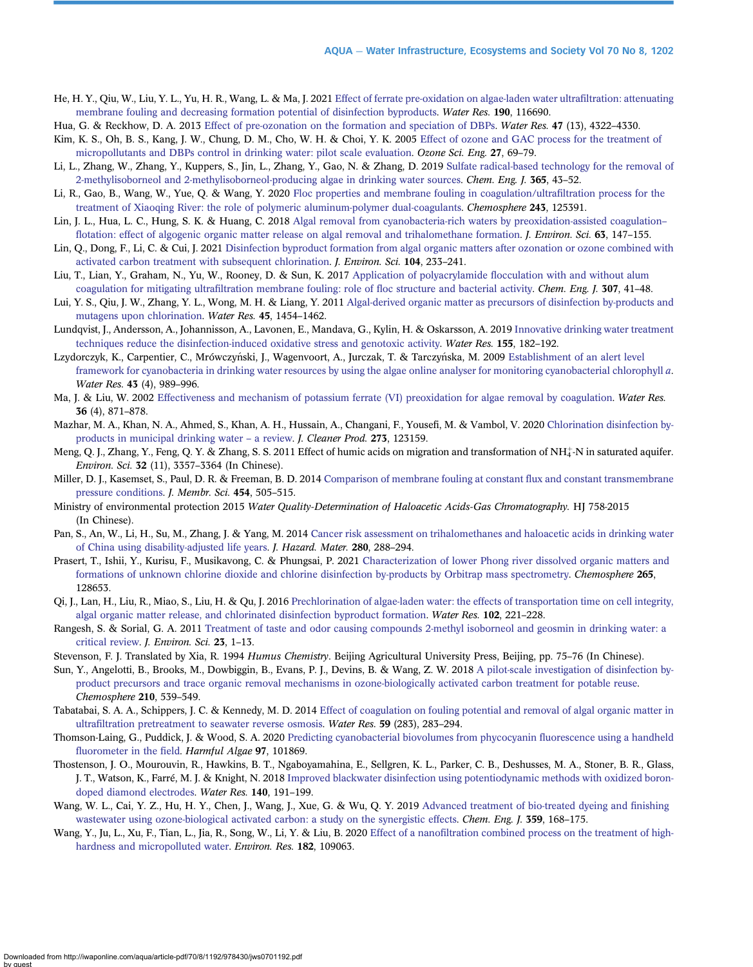- <span id="page-10-0"></span>He, H. Y., Qiu, W., Liu, Y. L., Yu, H. R., Wang, L. & Ma, J. 2021 [Effect of ferrate pre-oxidation on algae-laden water ultra](http://dx.doi.org/10.1016/j.watres.2020.116690)filtration: attenuating [membrane fouling and decreasing formation potential of disinfection byproducts.](http://dx.doi.org/10.1016/j.watres.2020.116690) Water Res. 190, 116690.
- Hua, G. & Reckhow, D. A. 2013 [Effect of pre-ozonation on the formation and speciation of DBPs.](http://dx.doi.org/10.1016/j.watres.2013.04.057) Water Res. 47 (13), 4322–4330.
- Kim, K. S., Oh, B. S., Kang, J. W., Chung, D. M., Cho, W. H. & Choi, Y. K. 2005 [Effect of ozone and GAC process for the treatment of](http://dx.doi.org/10.1080/01919510590909066) [micropollutants and DBPs control in drinking water: pilot scale evaluation](http://dx.doi.org/10.1080/01919510590909066). Ozone Sci. Eng. 27, 69–79.
- Li, L., Zhang, W., Zhang, Y., Kuppers, S., Jin, L., Zhang, Y., Gao, N. & Zhang, D. 2019 [Sulfate radical-based technology for the removal of](http://dx.doi.org/10.1016/j.cej.2018.08.180) [2-methylisoborneol and 2-methylisoborneol-producing algae in drinking water sources](http://dx.doi.org/10.1016/j.cej.2018.08.180). Chem. Eng. J. 365, 43–52.
- Li, R., Gao, B., Wang, W., Yue, Q. & Wang, Y. 2020 [Floc properties and membrane fouling in coagulation/ultra](http://dx.doi.org/10.1016/j.chemosphere.2019.125391)filtration process for the [treatment of Xiaoqing River: the role of polymeric aluminum-polymer dual-coagulants.](http://dx.doi.org/10.1016/j.chemosphere.2019.125391) Chemosphere 243, 125391.
- Lin, J. L., Hua, L. C., Hung, S. K. & Huang, C. 2018 [Algal removal from cyanobacteria-rich waters by preoxidation-assisted coagulation](http://dx.doi.org/10.1016/j.jes.2017.02.007) fl[otation: effect of algogenic organic matter release on algal removal and trihalomethane formation.](http://dx.doi.org/10.1016/j.jes.2017.02.007) *J. Environ. Sci.* 63, 147–155.
- Lin, Q., Dong, F., Li, C. & Cui, J. 2021 [Disinfection byproduct formation from algal organic matters after ozonation or ozone combined with](http://dx.doi.org/10.1016/j.jes.2020.12.009) [activated carbon treatment with subsequent chlorination.](http://dx.doi.org/10.1016/j.jes.2020.12.009) J. Environ. Sci. 104, 233–241.
- Liu, T., Lian, Y., Graham, N., Yu, W., Rooney, D. & Sun, K. 2017 Application of polyacrylamide fl[occulation with and without alum](http://dx.doi.org/10.1016/j.cej.2016.08.063) coagulation for mitigating ultrafi[ltration membrane fouling: role of](http://dx.doi.org/10.1016/j.cej.2016.08.063) floc structure and bacterial activity. Chem. Eng. J. 307, 41–48.
- Lui, Y. S., Qiu, J. W., Zhang, Y. L., Wong, M. H. & Liang, Y. 2011 [Algal-derived organic matter as precursors of disinfection by-products and](http://dx.doi.org/10.1016/j.watres.2010.11.007) [mutagens upon chlorination.](http://dx.doi.org/10.1016/j.watres.2010.11.007) Water Res. 45, 1454–1462.
- Lundqvist, J., Andersson, A., Johannisson, A., Lavonen, E., Mandava, G., Kylin, H. & Oskarsson, A. 2019 [Innovative drinking water treatment](http://dx.doi.org/10.1016/j.watres.2019.02.052) [techniques reduce the disinfection-induced oxidative stress and genotoxic activity](http://dx.doi.org/10.1016/j.watres.2019.02.052). Water Res. 155, 182–192.
- Lzydorczyk, K., Carpentier, C., Mrówczyński, J., Wagenvoort, A., Jurczak, T. & Tarczyńska, M. 2009 [Establishment of an alert level](http://dx.doi.org/10.1016/j.watres.2008.11.048) [framework for cyanobacteria in drinking water resources by using the algae online analyser for monitoring cyanobacterial chlorophyll](http://dx.doi.org/10.1016/j.watres.2008.11.048) a. Water Res. 43 (4), 989–996.
- Ma, J. & Liu, W. 2002 [Effectiveness and mechanism of potassium ferrate \(VI\) preoxidation for algae removal by coagulation.](http://dx.doi.org/10.1016/S0043-1354(01)00282-2) Water Res. 36 (4), 871–878.
- Mazhar, M. A., Khan, N. A., Ahmed, S., Khan, A. H., Hussain, A., Changani, F., Yousefi, M. & Vambol, V. 2020 [Chlorination disinfection by](http://dx.doi.org/10.1016/j.jclepro.2020.123159)[products in municipal drinking water](http://dx.doi.org/10.1016/j.jclepro.2020.123159) – a review. J. Cleaner Prod. 273, 123159.
- Meng, Q. J., Zhang, Y., Feng, Q. Y. & Zhang, S. S. 2011 Effect of humic acids on migration and transformation of NH4 þ-N in saturated aquifer. Environ. Sci. 32 (11), 3357–3364 (In Chinese).
- Miller, D. J., Kasemset, S., Paul, D. R. & Freeman, B. D. 2014 [Comparison of membrane fouling at constant](http://dx.doi.org/10.1016/j.memsci.2013.12.027) flux and constant transmembrane [pressure conditions.](http://dx.doi.org/10.1016/j.memsci.2013.12.027) J. Membr. Sci. 454, 505–515.
- Ministry of environmental protection 2015 Water Quality-Determination of Haloacetic Acids-Gas Chromatography. HJ 758-2015 (In Chinese).
- Pan, S., An, W., Li, H., Su, M., Zhang, J. & Yang, M. 2014 [Cancer risk assessment on trihalomethanes and haloacetic acids in drinking water](http://dx.doi.org/10.1016/j.jhazmat.2014.07.080) [of China using disability-adjusted life years](http://dx.doi.org/10.1016/j.jhazmat.2014.07.080). J. Hazard. Mater. 280, 288–294.
- Prasert, T., Ishii, Y., Kurisu, F., Musikavong, C. & Phungsai, P. 2021 [Characterization of lower Phong river dissolved organic matters and](http://dx.doi.org/10.1016/j.chemosphere.2020.128653) [formations of unknown chlorine dioxide and chlorine disinfection by-products by Orbitrap mass spectrometry.](http://dx.doi.org/10.1016/j.chemosphere.2020.128653) Chemosphere 265, 128653.
- Qi, J., Lan, H., Liu, R., Miao, S., Liu, H. & Qu, J. 2016 [Prechlorination of algae-laden water: the effects of transportation time on cell integrity,](http://dx.doi.org/10.1016/j.watres.2016.06.039) [algal organic matter release, and chlorinated disinfection byproduct formation](http://dx.doi.org/10.1016/j.watres.2016.06.039). Water Res. 102, 221–228.
- Rangesh, S. & Sorial, G. A. 2011 [Treatment of taste and odor causing compounds 2-methyl isoborneol and geosmin in drinking water: a](http://dx.doi.org/10.1016/S1001-0742(10)60367-1) [critical review.](http://dx.doi.org/10.1016/S1001-0742(10)60367-1) J. Environ. Sci. 23, 1–13.
- Stevenson, F. J. Translated by Xia, R. 1994 Humus Chemistry. Beijing Agricultural University Press, Beijing, pp. 75–76 (In Chinese).
- Sun, Y., Angelotti, B., Brooks, M., Dowbiggin, B., Evans, P. J., Devins, B. & Wang, Z. W. 2018 [A pilot-scale investigation of disinfection by](http://dx.doi.org/10.1016/j.chemosphere.2018.06.162)[product precursors and trace organic removal mechanisms in ozone-biologically activated carbon treatment for potable reuse.](http://dx.doi.org/10.1016/j.chemosphere.2018.06.162) Chemosphere 210, 539–549.
- Tabatabai, S. A. A., Schippers, J. C. & Kennedy, M. D. 2014 [Effect of coagulation on fouling potential and removal of algal organic matter in](http://dx.doi.org/10.1016/j.watres.2014.04.001) ultrafi[ltration pretreatment to seawater reverse osmosis](http://dx.doi.org/10.1016/j.watres.2014.04.001). Water Res. 59 (283), 283–294.
- Thomson-Laing, G., Puddick, J. & Wood, S. A. 2020 [Predicting cyanobacterial biovolumes from phycocyanin](http://dx.doi.org/10.1016/j.hal.2020.101869) fluorescence using a handheld fl[uorometer in the](http://dx.doi.org/10.1016/j.hal.2020.101869) field. Harmful Algae 97, 101869.
- Thostenson, J. O., Mourouvin, R., Hawkins, B. T., Ngaboyamahina, E., Sellgren, K. L., Parker, C. B., Deshusses, M. A., Stoner, B. R., Glass, J. T., Watson, K., Farré, M. J. & Knight, N. 2018 [Improved blackwater disinfection using potentiodynamic methods with oxidized boron](http://dx.doi.org/10.1016/j.watres.2018.04.022)[doped diamond electrodes](http://dx.doi.org/10.1016/j.watres.2018.04.022). Water Res. 140, 191–199.
- Wang, W. L., Cai, Y. Z., Hu, H. Y., Chen, J., Wang, J., Xue, G. & Wu, Q. Y. 2019 [Advanced treatment of bio-treated dyeing and](http://dx.doi.org/10.1016/j.cej.2018.11.059) finishing [wastewater using ozone-biological activated carbon: a study on the synergistic effects.](http://dx.doi.org/10.1016/j.cej.2018.11.059) *Chem. Eng. J.* 359, 168–175.
- Wang, Y., Ju, L., Xu, F., Tian, L., Jia, R., Song, W., Li, Y. & Liu, B. 2020 Effect of a nanofi[ltration combined process on the treatment of high](http://dx.doi.org/10.1016/j.envres.2019.109063)[hardness and micropolluted water](http://dx.doi.org/10.1016/j.envres.2019.109063). Environ. Res. 182, 109063.